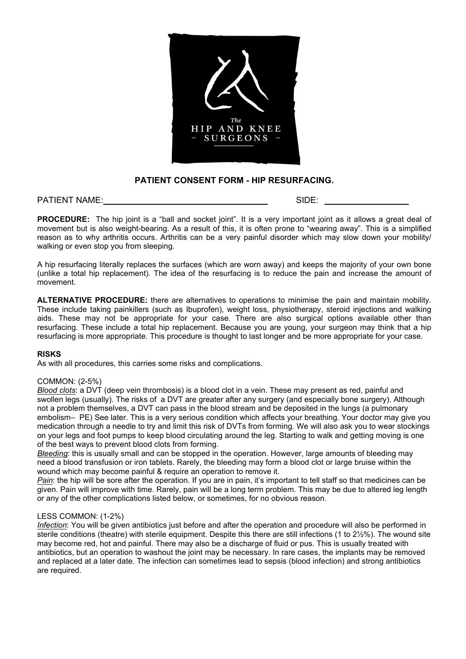

# **PATIENT CONSENT FORM - HIP RESURFACING.**

PATIENT NAME: SIDE: SIDE: SIDE: SIDE: SIDE: SIDE: SIDE: SIDE: SIDE: SIDE: SIDE: SIDE: SIDE: SIDE: SIDE: SIDE: SIDE: SIDE: SIDE: SIDE: SIDE: SIDE: SIDE: SIDE: SIDE: SIDE: SIDE: SIDE: SIDE: SIDE: SIDE: SIDE: SIDE: SIDE: SIDE

**PROCEDURE:** The hip joint is a "ball and socket joint". It is a very important joint as it allows a great deal of movement but is also weight-bearing. As a result of this, it is often prone to "wearing away". This is a simplified reason as to why arthritis occurs. Arthritis can be a very painful disorder which may slow down your mobility/ walking or even stop you from sleeping.

A hip resurfacing literally replaces the surfaces (which are worn away) and keeps the majority of your own bone (unlike a total hip replacement). The idea of the resurfacing is to reduce the pain and increase the amount of movement.

**ALTERNATIVE PROCEDURE:** there are alternatives to operations to minimise the pain and maintain mobility. These include taking painkillers (such as Ibuprofen), weight loss, physiotherapy, steroid injections and walking aids. These may not be appropriate for your case. There are also surgical options available other than resurfacing. These include a total hip replacement. Because you are young, your surgeon may think that a hip resurfacing is more appropriate. This procedure is thought to last longer and be more appropriate for your case.

## **RISKS**

As with all procedures, this carries some risks and complications.

#### COMMON: (2-5%)

*Blood clots*: a DVT (deep vein thrombosis) is a blood clot in a vein. These may present as red, painful and swollen legs (usually). The risks of a DVT are greater after any surgery (and especially bone surgery). Although not a problem themselves, a DVT can pass in the blood stream and be deposited in the lungs (a pulmonary embolism– PE) See later. This is a very serious condition which affects your breathing. Your doctor may give you medication through a needle to try and limit this risk of DVTs from forming. We will also ask you to wear stockings on your legs and foot pumps to keep blood circulating around the leg. Starting to walk and getting moving is one of the best ways to prevent blood clots from forming.

*Bleeding*: this is usually small and can be stopped in the operation. However, large amounts of bleeding may need a blood transfusion or iron tablets. Rarely, the bleeding may form a blood clot or large bruise within the wound which may become painful & require an operation to remove it.

*Pain*: the hip will be sore after the operation. If you are in pain, it's important to tell staff so that medicines can be given. Pain will improve with time. Rarely, pain will be a long term problem. This may be due to altered leg length or any of the other complications listed below, or sometimes, for no obvious reason.

#### LESS COMMON: (1-2%)

*Infection*: You will be given antibiotics just before and after the operation and procedure will also be performed in sterile conditions (theatre) with sterile equipment. Despite this there are still infections (1 to 2½%). The wound site may become red, hot and painful. There may also be a discharge of fluid or pus. This is usually treated with antibiotics, but an operation to washout the joint may be necessary. In rare cases, the implants may be removed and replaced at a later date. The infection can sometimes lead to sepsis (blood infection) and strong antibiotics are required.